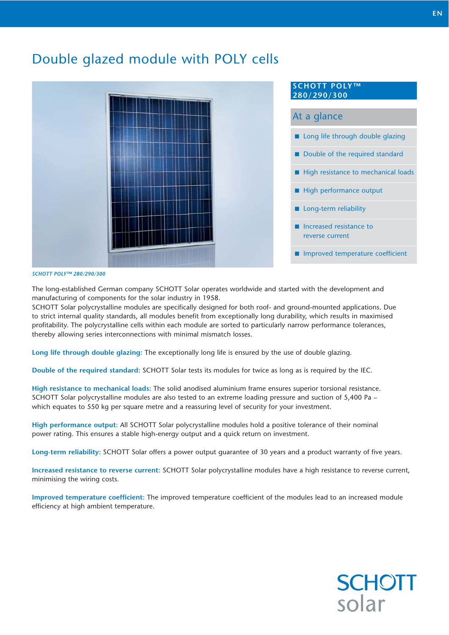## Double glazed module with POLY cells



#### **SCHOTT POLY™ 280/290/300**

#### At a glance

- **E** Long life through double glazing
- Double of the required standard
- -High resistance to mechanical loads
- -High performance output
- **Long-term reliability**
- - Increased resistance to reverse current
- **I** Improved temperature coefficient

#### *SCHOTT POLY™ 280/290/300*

The long-established German company SCHOTT Solar operates worldwide and started with the development and manufacturing of components for the solar industry in 1958.

SCHOTT Solar polycrystalline modules are specifically designed for both roof- and ground-mounted applications. Due to strict internal quality standards, all modules benefit from exceptionally long durability, which results in maximised profitability. The polycrystalline cells within each module are sorted to particularly narrow performance tolerances, thereby allowing series interconnections with minimal mismatch losses.

**Long life through double glazing:** The exceptionally long life is ensured by the use of double glazing.

**Double of the required standard:** SCHOTT Solar tests its modules for twice as long as is required by the IEC.

**High resistance to mechanical loads:** The solid anodised aluminium frame ensures superior torsional resistance. SCHOTT Solar polycrystalline modules are also tested to an extreme loading pressure and suction of 5,400 Pa – which equates to 550 kg per square metre and a reassuring level of security for your investment.

**High performance output:** All SCHOTT Solar polycrystalline modules hold a positive tolerance of their nominal power rating. This ensures a stable high-energy output and a quick return on investment.

**Long-term reliability:** SCHOTT Solar offers a power output guarantee of 30 years and a product warranty of five years.

**Increased resistance to reverse current:** SCHOTT Solar polycrystalline modules have a high resistance to reverse current, minimising the wiring costs.

**Improved temperature coefficient:** The improved temperature coefficient of the modules lead to an increased module efficiency at high ambient temperature.